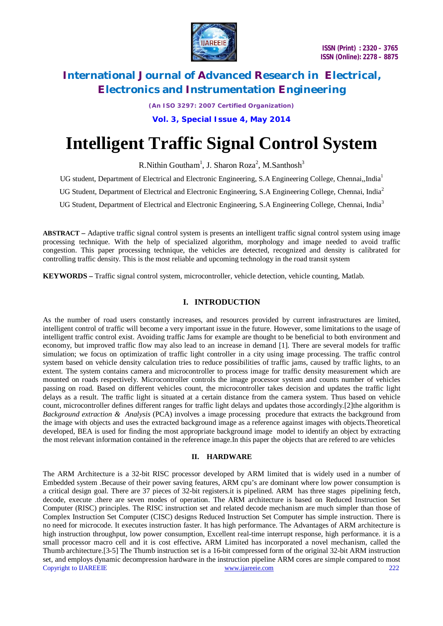

*(An ISO 3297: 2007 Certified Organization)* **Vol. 3, Special Issue 4, May 2014**

# **Intelligent Traffic Signal Control System**

R.Nithin Goutham<sup>1</sup>, J. Sharon Roza<sup>2</sup>, M.Santhosh<sup>3</sup>

UG student, Department of Electrical and Electronic Engineering, S.A Engineering College, Chennai,,India<sup>1</sup>

UG Student, Department of Electrical and Electronic Engineering, S.A Engineering College, Chennai, India<sup>2</sup>

UG Student, Department of Electrical and Electronic Engineering, S.A Engineering College, Chennai, India<sup>3</sup>

**ABSTRACT** *–* Adaptive traffic signal control system is presents an intelligent traffic signal control system using image processing technique. With the help of specialized algorithm, morphology and image needed to avoid traffic congestion. This paper processing technique, the vehicles are detected, recognized and density is calibrated for controlling traffic density. This is the most reliable and upcoming technology in the road transit system

**KEYWORDS** *–* Traffic signal control system, microcontroller, vehicle detection, vehicle counting, Matlab.

# **I. INTRODUCTION**

As the number of road users constantly increases, and resources provided by current infrastructures are limited, intelligent control of traffic will become a very important issue in the future. However, some limitations to the usage of intelligent traffic control exist. Avoiding traffic Jams for example are thought to be beneficial to both environment and economy, but improved traffic flow may also lead to an increase in demand [1]. There are several models for traffic simulation; we focus on optimization of traffic light controller in a city using image processing. The traffic control system based on vehicle density calculation tries to reduce possibilities of traffic jams, caused by traffic lights, to an extent. The system contains camera and microcontroller to process image for traffic density measurement which are mounted on roads respectively. Microcontroller controls the image processor system and counts number of vehicles passing on road. Based on different vehicles count, the microcontroller takes decision and updates the traffic light delays as a result. The traffic light is situated at a certain distance from the camera system. Thus based on vehicle count, microcontroller defines different ranges for traffic light delays and updates those accordingly.[2]the algorithm is *Background extraction & Analysis* (PCA) involves a image processing procedure that extracts the background from the image with objects and uses the extracted background image as a reference against images with objects.Theoretical developed, BEA is used for finding the most appropriate background image model to identify an object by extracting the most relevant information contained in the reference image.In this paper the objects that are refered to are vehicles

# **II. HARDWARE**

Copyright to IJAREEIE www.ijareeie.com 222 The ARM Architecture is a 32-bit RISC processor developed by ARM limited that is widely used in a number of Embedded system .Because of their power saving features, ARM cpu's are dominant where low power consumption is a critical design goal. There are 37 pieces of 32-bit registers.it is pipelined. ARM has three stages pipelining fetch, decode, execute .there are seven modes of operation. The ARM architecture is based on Reduced Instruction Set Computer (RISC) principles. The RISC instruction set and related decode mechanism are much simpler than those of Complex Instruction Set Computer (CISC) designs Reduced Instruction Set Computer has simple instruction. There is no need for microcode. It executes instruction faster. It has high performance. The Advantages of ARM architecture is high instruction throughput, low power consumption, Excellent real-time interrupt response, high performance. it is a small processor macro cell and it is cost effective**.** ARM Limited has incorporated a novel mechanism, called the Thumb architecture.[3-5] The Thumb instruction set is a 16-bit compressed form of the original 32-bit ARM instruction set, and employs dynamic decompression hardware in the instruction pipeline ARM cores are simple compared to most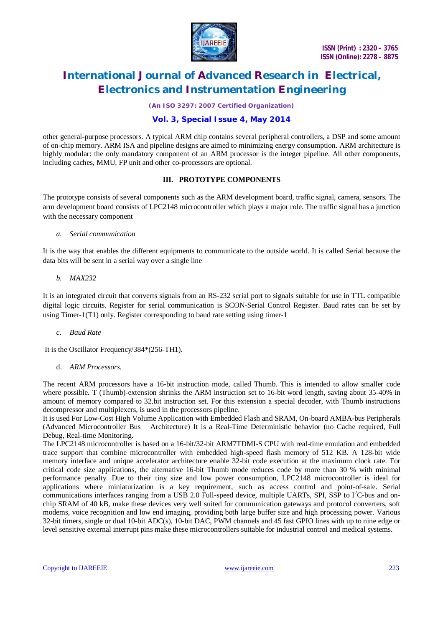

*(An ISO 3297: 2007 Certified Organization)*

# **Vol. 3, Special Issue 4, May 2014**

other general-purpose processors. A typical ARM chip contains several peripheral controllers, a DSP and some amount of on-chip memory. ARM ISA and pipeline designs are aimed to minimizing energy consumption. ARM architecture is highly modular: the only mandatory component of an ARM processor is the integer pipeline. All other components, including caches, MMU, FP unit and other co-processors are optional.

# **III. PROTOTYPE COMPONENTS**

The prototype consists of several components such as the ARM development board, traffic signal, camera, sensors. The arm development board consists of LPC2148 microcontroller which plays a major role. The traffic signal has a junction with the necessary component

#### *a. Serial communication*

It is the way that enables the different equipments to communicate to the outside world. It is called Serial because the data bits will be sent in a serial way over a single line

#### *b. MAX232*

It is an integrated circuit that converts signals from an RS-232 serial port to signals suitable for use in TTL compatible digital logic circuits. Register for serial communication is SCON-Serial Control Register. Baud rates can be set by using Timer-1(T1) only. Register corresponding to baud rate setting using timer-1

#### *c. Baud Rate*

It is the Oscillator Frequency/384\*(256-TH1).

d. *ARM Processors.*

The recent ARM processors have a 16-bit instruction mode, called Thumb. This is intended to allow smaller code where possible. T (Thumb)-extension shrinks the ARM instruction set to 16-bit word length, saving about 35-40% in amount of memory compared to 32.bit instruction set. For this extension a special decoder, with Thumb instructions decompressor and multiplexers, is used in the processors pipeline.

It is used For Low-Cost High Volume Application with Embedded Flash and SRAM, On-board AMBA-bus Peripherals (Advanced Microcontroller Bus Architecture) It is a Real-Time Deterministic behavior (no Cache required, Full Debug, Real-time Monitoring.

The LPC2148 microcontroller is based on a 16-bit/32-bit ARM7TDMI-S CPU with real-time emulation and embedded trace support that combine microcontroller with embedded high-speed flash memory of 512 KB. A 128-bit wide memory interface and unique accelerator architecture enable 32-bit code execution at the maximum clock rate. For critical code size applications, the alternative 16-bit Thumb mode reduces code by more than 30 % with minimal performance penalty. Due to their tiny size and low power consumption, LPC2148 microcontroller is ideal for applications where miniaturization is a key requirement, such as access control and point-of-sale. Serial communications interfaces ranging from a USB 2.0 Full-speed device, multiple UARTs, SPI, SSP to  $I<sup>2</sup>C$ -bus and onchip SRAM of 40 kB, make these devices very well suited for communication gateways and protocol converters, soft modems, voice recognition and low end imaging, providing both large buffer size and high processing power. Various 32-bit timers, single or dual 10-bit ADC(s), 10-bit DAC, PWM channels and 45 fast GPIO lines with up to nine edge or level sensitive external interrupt pins make these microcontrollers suitable for industrial control and medical systems.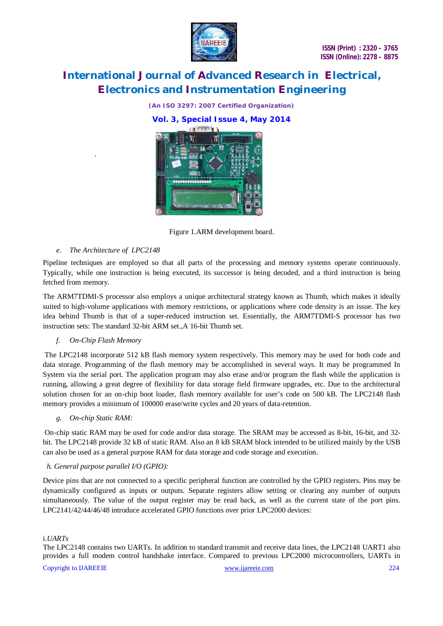

*(An ISO 3297: 2007 Certified Organization)*

**Vol. 3, Special Issue 4, May 2014**



Figure 1.ARM development board.

# *e. The Architecture of LPC2148*

.

Pipeline techniques are employed so that all parts of the processing and memory systems operate continuously. Typically, while one instruction is being executed, its successor is being decoded, and a third instruction is being fetched from memory.

The ARM7TDMI-S processor also employs a unique architectural strategy known as Thumb, which makes it ideally suited to high-volume applications with memory restrictions, or applications where code density is an issue. The key idea behind Thumb is that of a super-reduced instruction set. Essentially, the ARM7TDMI-S processor has two instruction sets: The standard 32-bit ARM set.,A 16-bit Thumb set.

# *f. On-Chip Flash Memory*

The LPC2148 incorporate 512 kB flash memory system respectively. This memory may be used for both code and data storage. Programming of the flash memory may be accomplished in several ways. It may be programmed In System via the serial port. The application program may also erase and/or program the flash while the application is running, allowing a great degree of flexibility for data storage field firmware upgrades, etc. Due to the architectural solution chosen for an on-chip boot loader, flash memory available for user's code on 500 kB. The LPC2148 flash memory provides a minimum of 100000 erase/write cycles and 20 years of data-retention.

# *g. On-chip Static RAM:*

On-chip static RAM may be used for code and/or data storage. The SRAM may be accessed as 8-bit, 16-bit, and 32 bit. The LPC2148 provide 32 kB of static RAM. Also an 8 kB SRAM block intended to be utilized mainly by the USB can also be used as a general purpose RAM for data storage and code storage and execution.

# *h. General purpose parallel I/O (GPIO):*

Device pins that are not connected to a specific peripheral function are controlled by the GPIO registers. Pins may be dynamically configured as inputs or outputs. Separate registers allow setting or clearing any number of outputs simultaneously. The value of the output register may be read back, as well as the current state of the port pins. LPC2141/42/44/46/48 introduce accelerated GPIO functions over prior LPC2000 devices:

# i.*UARTs*

The LPC2148 contains two UARTs. In addition to standard transmit and receive data lines, the LPC2148 UART1 also provides a full modem control handshake interface. Compared to previous LPC2000 microcontrollers, UARTs in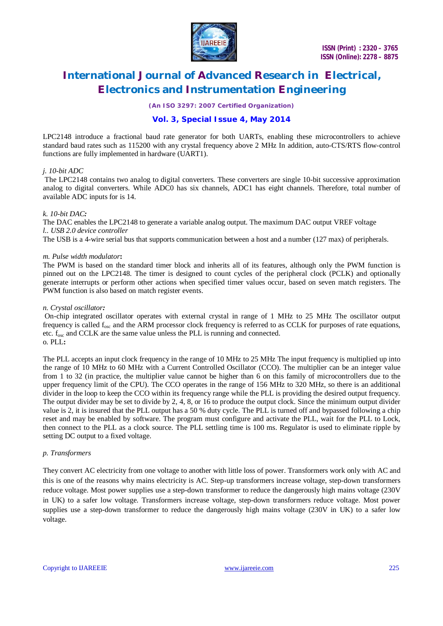

*(An ISO 3297: 2007 Certified Organization)*

# **Vol. 3, Special Issue 4, May 2014**

LPC2148 introduce a fractional baud rate generator for both UARTs, enabling these microcontrollers to achieve standard baud rates such as 115200 with any crystal frequency above 2 MHz In addition, auto-CTS/RTS flow-control functions are fully implemented in hardware (UART1).

### *j. 10-bit ADC*

The LPC2148 contains two analog to digital converters. These converters are single 10-bit successive approximation analog to digital converters. While ADC0 has six channels, ADC1 has eight channels. Therefore, total number of available ADC inputs for is 14.

#### *k. 10-bit DAC:*

The DAC enables the LPC2148 to generate a variable analog output. The maximum DAC output VREF voltage *l.. USB 2.0 device controller*

The USB is a 4-wire serial bus that supports communication between a host and a number (127 max) of peripherals.

#### *m. Pulse width modulator***:**

The PWM is based on the standard timer block and inherits all of its features, although only the PWM function is pinned out on the LPC2148. The timer is designed to count cycles of the peripheral clock (PCLK) and optionally generate interrupts or perform other actions when specified timer values occur, based on seven match registers. The PWM function is also based on match register events.

#### *n. Crystal oscillator:*

On-chip integrated oscillator operates with external crystal in range of 1 MHz to 25 MHz The oscillator output frequency is called  $f_{\text{osc}}$  and the ARM processor clock frequency is referred to as CCLK for purposes of rate equations, etc.  $f_{\text{osc}}$  and CCLK are the same value unless the PLL is running and connected. o. PLL**:**

The PLL accepts an input clock frequency in the range of 10 MHz to 25 MHz The input frequency is multiplied up into the range of 10 MHz to 60 MHz with a Current Controlled Oscillator (CCO). The multiplier can be an integer value from 1 to 32 (in practice, the multiplier value cannot be higher than 6 on this family of microcontrollers due to the upper frequency limit of the CPU). The CCO operates in the range of 156 MHz to 320 MHz, so there is an additional divider in the loop to keep the CCO within its frequency range while the PLL is providing the desired output frequency. The output divider may be set to divide by 2, 4, 8, or 16 to produce the output clock. Since the minimum output divider value is 2, it is insured that the PLL output has a 50 % duty cycle. The PLL is turned off and bypassed following a chip reset and may be enabled by software. The program must configure and activate the PLL, wait for the PLL to Lock, then connect to the PLL as a clock source. The PLL settling time is 100 ms. Regulator is used to eliminate ripple by setting DC output to a fixed voltage.

#### *p. Transformers*

They convert AC electricity from one voltage to another with little loss of power. Transformers work only with AC and this is one of the reasons why mains electricity is AC. Step-up transformers increase voltage, step-down transformers reduce voltage. Most power supplies use a step-down transformer to reduce the dangerously high mains voltage (230V in UK) to a safer low voltage. Transformers increase voltage, step-down transformers reduce voltage. Most power supplies use a step-down transformer to reduce the dangerously high mains voltage (230V in UK) to a safer low voltage.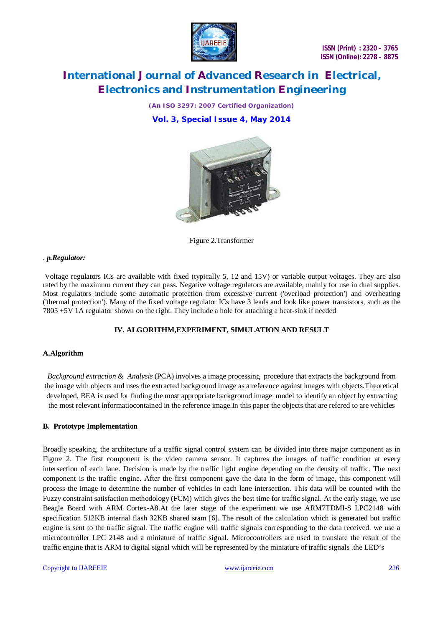

*(An ISO 3297: 2007 Certified Organization)* **Vol. 3, Special Issue 4, May 2014**



Figure 2.Transformer

#### . *p.Regulator:*

Voltage regulators ICs are available with fixed (typically 5, 12 and 15V) or variable output voltages. They are also rated by the maximum current they can pass. Negative voltage regulators are available, mainly for use in dual supplies. Most regulators include some automatic protection from excessive current ('overload protection') and overheating ('thermal protection'). Many of the fixed voltage regulator ICs have 3 leads and look like power transistors, such as the 7805 +5V 1A regulator shown on the right. They include a hole for attaching a heat-sink if needed

# **IV. ALGORITHM,EXPERIMENT, SIMULATION AND RESULT**

# **A.Algorithm**

*Background extraction & Analysis* (PCA) involves a image processing procedure that extracts the background from the image with objects and uses the extracted background image as a reference against images with objects.Theoretical developed, BEA is used for finding the most appropriate background image model to identify an object by extracting the most relevant informatiocontained in the reference image.In this paper the objects that are refered to are vehicles

#### **B. Prototype Implementation**

Broadly speaking, the architecture of a traffic signal control system can be divided into three major component as in Figure 2. The first component is the video camera sensor. It captures the images of traffic condition at every intersection of each lane. Decision is made by the traffic light engine depending on the density of traffic. The next component is the traffic engine. After the first component gave the data in the form of image, this component will process the image to determine the number of vehicles in each lane intersection. This data will be counted with the Fuzzy constraint satisfaction methodology (FCM) which gives the best time for traffic signal. At the early stage, we use Beagle Board with ARM Cortex-A8.At the later stage of the experiment we use ARM7TDMI-S LPC2148 with specification 512KB internal flash 32KB shared sram [6]. The result of the calculation which is generated but traffic engine is sent to the traffic signal. The traffic engine will traffic signals corresponding to the data received. we use a microcontroller LPC 2148 and a miniature of traffic signal. Microcontrollers are used to translate the result of the traffic engine that is ARM to digital signal which will be represented by the miniature of traffic signals .the LED's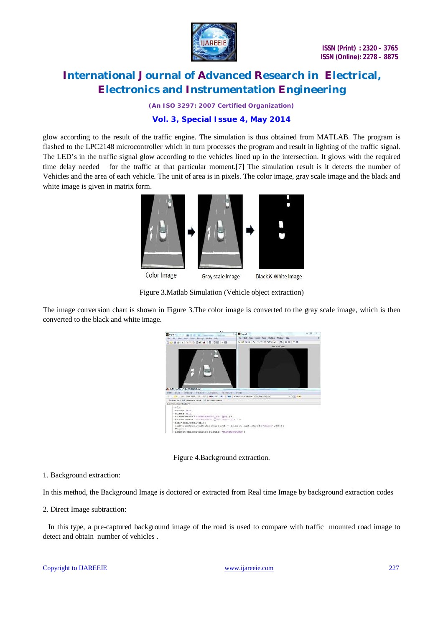

*(An ISO 3297: 2007 Certified Organization)*

# **Vol. 3, Special Issue 4, May 2014**

glow according to the result of the traffic engine. The simulation is thus obtained from MATLAB. The program is flashed to the LPC2148 microcontroller which in turn processes the program and result in lighting of the traffic signal. The LED's in the traffic signal glow according to the vehicles lined up in the intersection. It glows with the required time delay needed for the traffic at that particular moment.[7] The simulation result is it detects the number of Vehicles and the area of each vehicle. The unit of area is in pixels. The color image, gray scale image and the black and white image is given in matrix form.



Figure 3.Matlab Simulation (Vehicle object extraction)

The image conversion chart is shown in Figure 3.The color image is converted to the gray scale image, which is then converted to the black and white image.



Figure 4.Background extraction.

1. Background extraction:

In this method, the Background Image is doctored or extracted from Real time Image by background extraction codes

2. Direct Image subtraction:

 In this type, a pre-captured background image of the road is used to compare with traffic mounted road image to detect and obtain number of vehicles .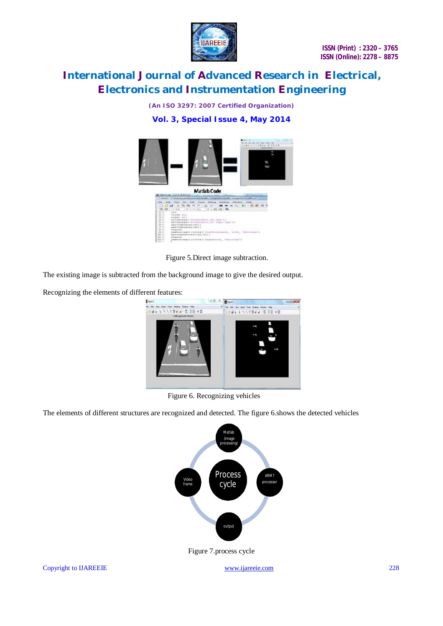

*(An ISO 3297: 2007 Certified Organization)* **Vol. 3, Special Issue 4, May 2014**



Figure 5.Direct image subtraction.

The existing image is subtracted from the background image to give the desired output.

Recognizing the elements of different features:



Figure 6. Recognizing vehicles

The elements of different structures are recognized and detected. The figure 6.shows the detected vehicles

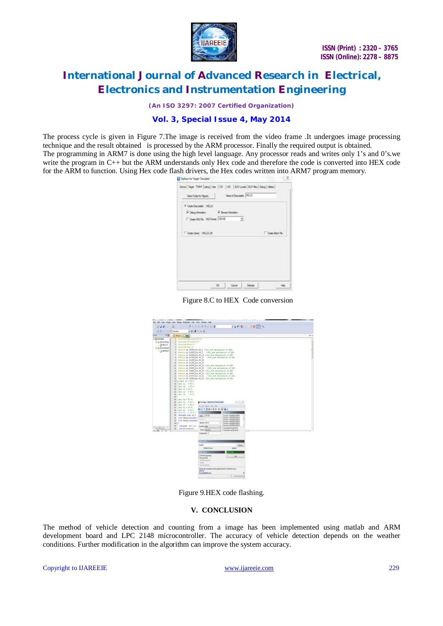

 **ISSN (Print) : 2320 – 3765 ISSN (Online): 2278 – 8875**

# **International Journal of Advanced Research in Electrical, Electronics and Instrumentation Engineering**

*(An ISO 3297: 2007 Certified Organization)*

### **Vol. 3, Special Issue 4, May 2014**

The process cycle is given in Figure 7.The image is received from the video frame .It undergoes image processing technique and the result obtained is processed by the ARM processor. Finally the required output is obtained. The programming in ARM7 is done using the high level language. Any processor reads and writes only 1's and 0's.we write the program in C++ but the ARM understands only Hex code and therefore the code is converted into HEX code for the ARM to function. Using Hex code flash drivers, the Hex codes written into ARM7 program memory.

| F Crate Executive 146122<br>P. Deug Information<br>P Boys Hondar |                  |
|------------------------------------------------------------------|------------------|
|                                                                  |                  |
|                                                                  |                  |
| Costellibrile HitChmat (4518)<br>킈                               |                  |
|                                                                  |                  |
| C Dele Llowy, 1491013                                            | Create Batch Riv |
|                                                                  |                  |
|                                                                  |                  |
|                                                                  |                  |
|                                                                  |                  |
|                                                                  |                  |
|                                                                  |                  |

Figure 8.C to HEX Code conversion



Figure 9.HEX code flashing.

# **V. CONCLUSION**

The method of vehicle detection and counting from a image has been implemented using matlab and ARM development board and LPC 2148 microcontroller. The accuracy of vehicle detection depends on the weather conditions. Further modification in the algorithm can improve the system accuracy.